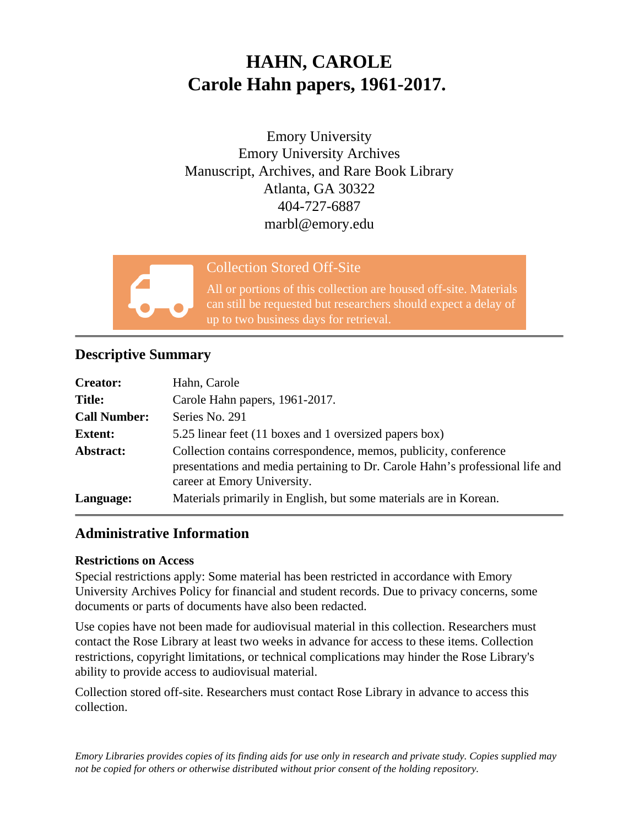# **HAHN, CAROLE Carole Hahn papers, 1961-2017.**

Emory University Emory University Archives Manuscript, Archives, and Rare Book Library Atlanta, GA 30322 404-727-6887 marbl@emory.edu



### Collection Stored Off-Site

All or portions of this collection are housed off-site. Materials can still be requested but researchers should expect a delay of up to two business days for retrieval.

## **Descriptive Summary**

| <b>Creator:</b>     | Hahn, Carole                                                                                                                                                                     |
|---------------------|----------------------------------------------------------------------------------------------------------------------------------------------------------------------------------|
| <b>Title:</b>       | Carole Hahn papers, 1961-2017.                                                                                                                                                   |
| <b>Call Number:</b> | Series No. 291                                                                                                                                                                   |
| <b>Extent:</b>      | 5.25 linear feet (11 boxes and 1 oversized papers box)                                                                                                                           |
| Abstract:           | Collection contains correspondence, memos, publicity, conference<br>presentations and media pertaining to Dr. Carole Hahn's professional life and<br>career at Emory University. |
| Language:           | Materials primarily in English, but some materials are in Korean.                                                                                                                |

## **Administrative Information**

#### **Restrictions on Access**

Special restrictions apply: Some material has been restricted in accordance with Emory University Archives Policy for financial and student records. Due to privacy concerns, some documents or parts of documents have also been redacted.

Use copies have not been made for audiovisual material in this collection. Researchers must contact the Rose Library at least two weeks in advance for access to these items. Collection restrictions, copyright limitations, or technical complications may hinder the Rose Library's ability to provide access to audiovisual material.

Collection stored off-site. Researchers must contact Rose Library in advance to access this collection.

*Emory Libraries provides copies of its finding aids for use only in research and private study. Copies supplied may not be copied for others or otherwise distributed without prior consent of the holding repository.*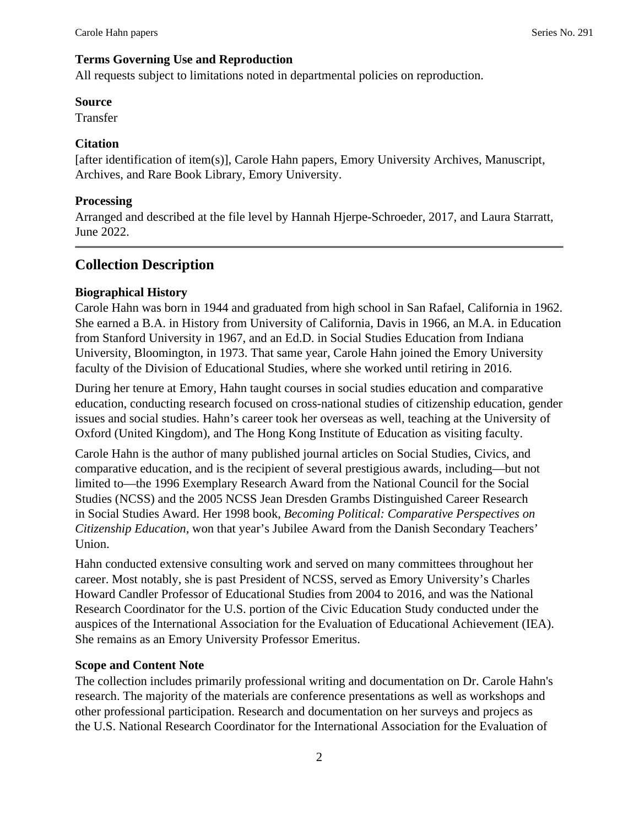#### **Terms Governing Use and Reproduction**

All requests subject to limitations noted in departmental policies on reproduction.

#### **Source**

Transfer

#### **Citation**

[after identification of item(s)], Carole Hahn papers, Emory University Archives, Manuscript, Archives, and Rare Book Library, Emory University.

#### **Processing**

Arranged and described at the file level by Hannah Hjerpe-Schroeder, 2017, and Laura Starratt, June 2022.

## **Collection Description**

#### **Biographical History**

Carole Hahn was born in 1944 and graduated from high school in San Rafael, California in 1962. She earned a B.A. in History from University of California, Davis in 1966, an M.A. in Education from Stanford University in 1967, and an Ed.D. in Social Studies Education from Indiana University, Bloomington, in 1973. That same year, Carole Hahn joined the Emory University faculty of the Division of Educational Studies, where she worked until retiring in 2016.

During her tenure at Emory, Hahn taught courses in social studies education and comparative education, conducting research focused on cross-national studies of citizenship education, gender issues and social studies. Hahn's career took her overseas as well, teaching at the University of Oxford (United Kingdom), and The Hong Kong Institute of Education as visiting faculty.

Carole Hahn is the author of many published journal articles on Social Studies, Civics, and comparative education, and is the recipient of several prestigious awards, including—but not limited to—the 1996 Exemplary Research Award from the National Council for the Social Studies (NCSS) and the 2005 NCSS Jean Dresden Grambs Distinguished Career Research in Social Studies Award. Her 1998 book, *Becoming Political: Comparative Perspectives on Citizenship Education*, won that year's Jubilee Award from the Danish Secondary Teachers' Union.

Hahn conducted extensive consulting work and served on many committees throughout her career. Most notably, she is past President of NCSS, served as Emory University's Charles Howard Candler Professor of Educational Studies from 2004 to 2016, and was the National Research Coordinator for the U.S. portion of the Civic Education Study conducted under the auspices of the International Association for the Evaluation of Educational Achievement (IEA). She remains as an Emory University Professor Emeritus.

#### **Scope and Content Note**

The collection includes primarily professional writing and documentation on Dr. Carole Hahn's research. The majority of the materials are conference presentations as well as workshops and other professional participation. Research and documentation on her surveys and projecs as the U.S. National Research Coordinator for the International Association for the Evaluation of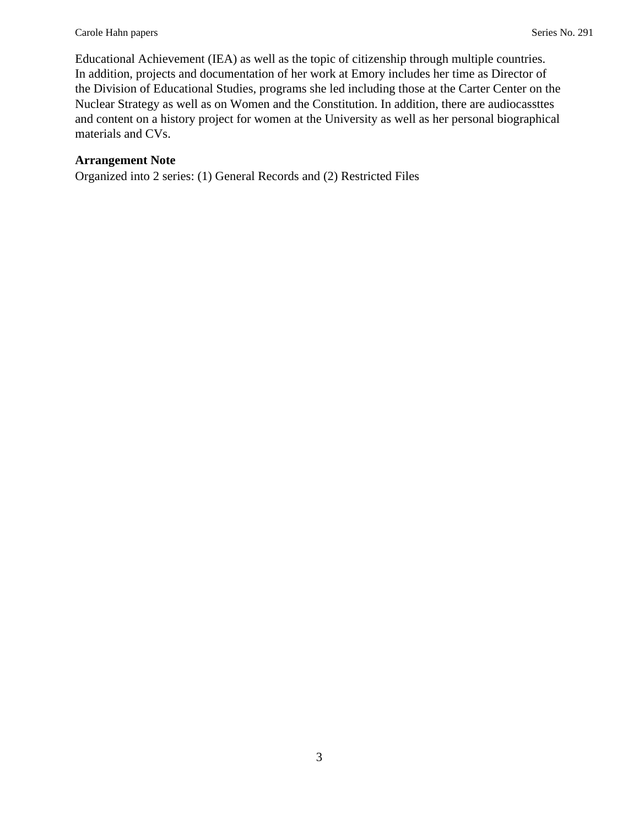Educational Achievement (IEA) as well as the topic of citizenship through multiple countries. In addition, projects and documentation of her work at Emory includes her time as Director of the Division of Educational Studies, programs she led including those at the Carter Center on the Nuclear Strategy as well as on Women and the Constitution. In addition, there are audiocassttes and content on a history project for women at the University as well as her personal biographical materials and CVs.

#### **Arrangement Note**

Organized into 2 series: (1) General Records and (2) Restricted Files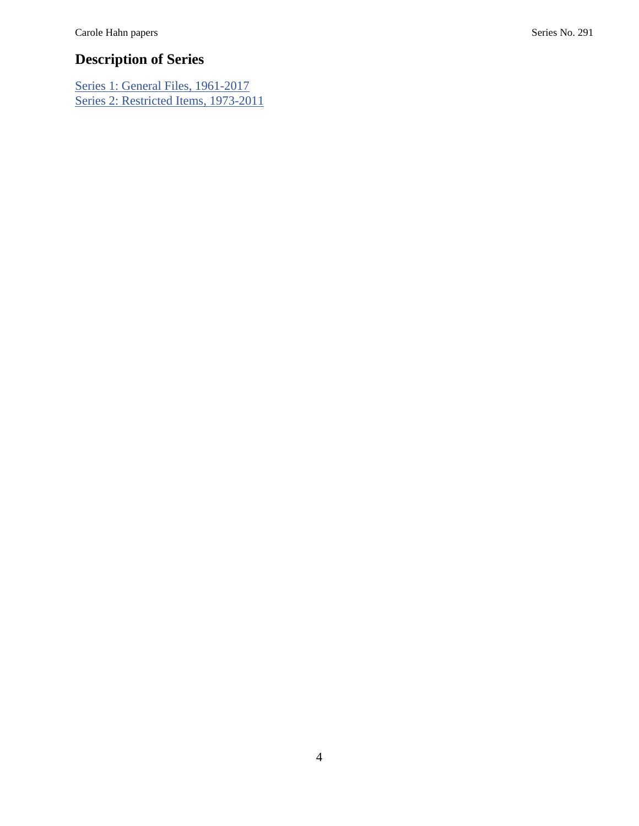## **Description of Series**

[Series 1: General Files, 1961-2017](#page-4-0) [Series 2: Restricted Items, 1973-2011](#page-13-0)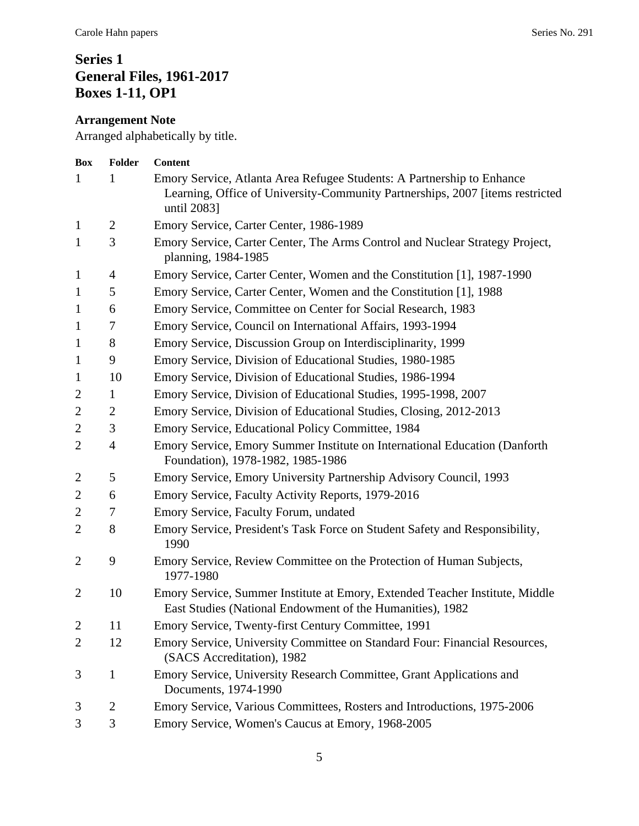## <span id="page-4-0"></span>**Series 1 General Files, 1961-2017 Boxes 1-11, OP1**

## **Arrangement Note**

Arranged alphabetically by title.

| Box            | Folder           | <b>Content</b>                                                                                                                                                         |
|----------------|------------------|------------------------------------------------------------------------------------------------------------------------------------------------------------------------|
| $\mathbf{1}$   |                  | Emory Service, Atlanta Area Refugee Students: A Partnership to Enhance<br>Learning, Office of University-Community Partnerships, 2007 [items restricted<br>until 2083] |
| $\mathbf{1}$   | $\overline{2}$   | Emory Service, Carter Center, 1986-1989                                                                                                                                |
| $\mathbf{1}$   | 3                | Emory Service, Carter Center, The Arms Control and Nuclear Strategy Project,<br>planning, 1984-1985                                                                    |
| $\mathbf{1}$   | 4                | Emory Service, Carter Center, Women and the Constitution [1], 1987-1990                                                                                                |
| $\mathbf{1}$   | 5                | Emory Service, Carter Center, Women and the Constitution [1], 1988                                                                                                     |
| $\mathbf{1}$   | 6                | Emory Service, Committee on Center for Social Research, 1983                                                                                                           |
| $\mathbf{1}$   | $\boldsymbol{7}$ | Emory Service, Council on International Affairs, 1993-1994                                                                                                             |
| $\mathbf{1}$   | 8                | Emory Service, Discussion Group on Interdisciplinarity, 1999                                                                                                           |
| $\mathbf{1}$   | 9                | Emory Service, Division of Educational Studies, 1980-1985                                                                                                              |
| $\mathbf{1}$   | 10               | Emory Service, Division of Educational Studies, 1986-1994                                                                                                              |
| 2              | 1                | Emory Service, Division of Educational Studies, 1995-1998, 2007                                                                                                        |
| $\overline{2}$ | $\overline{2}$   | Emory Service, Division of Educational Studies, Closing, 2012-2013                                                                                                     |
| $\overline{c}$ | 3                | Emory Service, Educational Policy Committee, 1984                                                                                                                      |
| $\overline{2}$ | $\overline{4}$   | Emory Service, Emory Summer Institute on International Education (Danforth<br>Foundation), 1978-1982, 1985-1986                                                        |
| $\overline{2}$ | 5                | Emory Service, Emory University Partnership Advisory Council, 1993                                                                                                     |
| $\overline{c}$ | 6                | Emory Service, Faculty Activity Reports, 1979-2016                                                                                                                     |
| $\mathbf{2}$   | 7                | Emory Service, Faculty Forum, undated                                                                                                                                  |
| $\overline{2}$ | 8                | Emory Service, President's Task Force on Student Safety and Responsibility,<br>1990                                                                                    |
| $\overline{2}$ | 9                | Emory Service, Review Committee on the Protection of Human Subjects,<br>1977-1980                                                                                      |
| $\overline{2}$ | 10               | Emory Service, Summer Institute at Emory, Extended Teacher Institute, Middle<br>East Studies (National Endowment of the Humanities), 1982                              |
| $\overline{c}$ | 11               | Emory Service, Twenty-first Century Committee, 1991                                                                                                                    |
| $\overline{2}$ | 12               | Emory Service, University Committee on Standard Four: Financial Resources,<br>(SACS Accreditation), 1982                                                               |
| 3              | $\mathbf{1}$     | Emory Service, University Research Committee, Grant Applications and<br>Documents, 1974-1990                                                                           |
| 3              | $\overline{c}$   | Emory Service, Various Committees, Rosters and Introductions, 1975-2006                                                                                                |
| 3              | 3                | Emory Service, Women's Caucus at Emory, 1968-2005                                                                                                                      |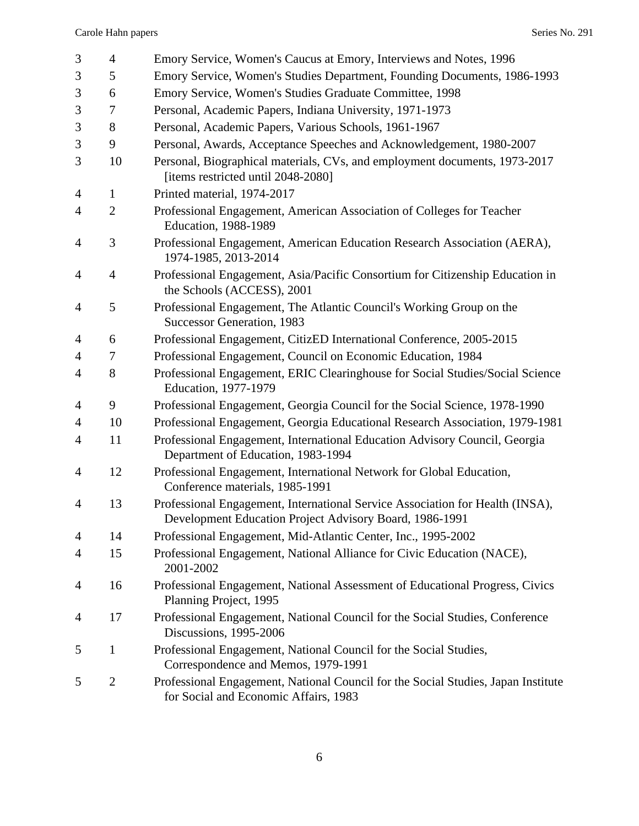| 3              | $\overline{4}$ | Emory Service, Women's Caucus at Emory, Interviews and Notes, 1996                                                                       |
|----------------|----------------|------------------------------------------------------------------------------------------------------------------------------------------|
| $\mathfrak{Z}$ | 5              | Emory Service, Women's Studies Department, Founding Documents, 1986-1993                                                                 |
| 3              | 6              | Emory Service, Women's Studies Graduate Committee, 1998                                                                                  |
| 3              | 7              | Personal, Academic Papers, Indiana University, 1971-1973                                                                                 |
| 3              | 8              | Personal, Academic Papers, Various Schools, 1961-1967                                                                                    |
| $\mathfrak{Z}$ | 9              | Personal, Awards, Acceptance Speeches and Acknowledgement, 1980-2007                                                                     |
| 3              | 10             | Personal, Biographical materials, CVs, and employment documents, 1973-2017<br>[items restricted until 2048-2080]                         |
| 4              | $\mathbf{1}$   | Printed material, 1974-2017                                                                                                              |
| $\overline{4}$ | $\overline{2}$ | Professional Engagement, American Association of Colleges for Teacher<br><b>Education</b> , 1988-1989                                    |
| 4              | 3              | Professional Engagement, American Education Research Association (AERA),<br>1974-1985, 2013-2014                                         |
| 4              | $\overline{4}$ | Professional Engagement, Asia/Pacific Consortium for Citizenship Education in<br>the Schools (ACCESS), 2001                              |
| 4              | 5              | Professional Engagement, The Atlantic Council's Working Group on the<br><b>Successor Generation</b> , 1983                               |
| $\overline{4}$ | 6              | Professional Engagement, CitizED International Conference, 2005-2015                                                                     |
| 4              | 7              | Professional Engagement, Council on Economic Education, 1984                                                                             |
| $\overline{4}$ | 8              | Professional Engagement, ERIC Clearinghouse for Social Studies/Social Science<br>Education, 1977-1979                                    |
| $\overline{4}$ | 9              | Professional Engagement, Georgia Council for the Social Science, 1978-1990                                                               |
| $\overline{4}$ | 10             | Professional Engagement, Georgia Educational Research Association, 1979-1981                                                             |
| $\overline{4}$ | 11             | Professional Engagement, International Education Advisory Council, Georgia<br>Department of Education, 1983-1994                         |
| $\overline{4}$ | 12             | Professional Engagement, International Network for Global Education,<br>Conference materials, 1985-1991                                  |
| $\overline{4}$ | 13             | Professional Engagement, International Service Association for Health (INSA),<br>Development Education Project Advisory Board, 1986-1991 |
| 4              | 14             | Professional Engagement, Mid-Atlantic Center, Inc., 1995-2002                                                                            |
| 4              | 15             | Professional Engagement, National Alliance for Civic Education (NACE),<br>2001-2002                                                      |
| 4              | 16             | Professional Engagement, National Assessment of Educational Progress, Civics<br>Planning Project, 1995                                   |
| 4              | 17             | Professional Engagement, National Council for the Social Studies, Conference<br>Discussions, 1995-2006                                   |
| 5              | $\mathbf{1}$   | Professional Engagement, National Council for the Social Studies,<br>Correspondence and Memos, 1979-1991                                 |
| 5              | $\overline{2}$ | Professional Engagement, National Council for the Social Studies, Japan Institute<br>for Social and Economic Affairs, 1983               |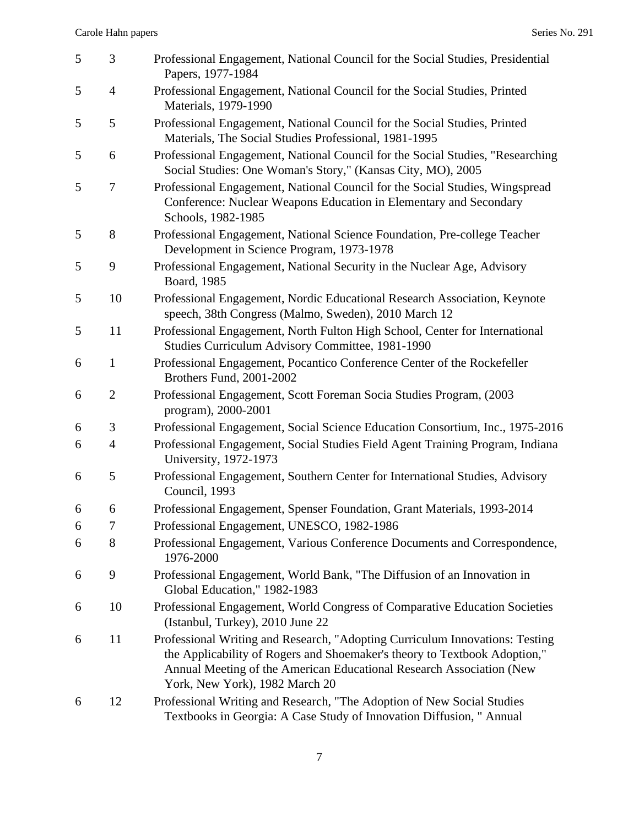| 5 | 3                | Professional Engagement, National Council for the Social Studies, Presidential<br>Papers, 1977-1984                                                                                                                                                                 |
|---|------------------|---------------------------------------------------------------------------------------------------------------------------------------------------------------------------------------------------------------------------------------------------------------------|
| 5 | $\overline{4}$   | Professional Engagement, National Council for the Social Studies, Printed<br>Materials, 1979-1990                                                                                                                                                                   |
| 5 | 5                | Professional Engagement, National Council for the Social Studies, Printed<br>Materials, The Social Studies Professional, 1981-1995                                                                                                                                  |
| 5 | 6                | Professional Engagement, National Council for the Social Studies, "Researching<br>Social Studies: One Woman's Story," (Kansas City, MO), 2005                                                                                                                       |
| 5 | $\boldsymbol{7}$ | Professional Engagement, National Council for the Social Studies, Wingspread<br>Conference: Nuclear Weapons Education in Elementary and Secondary<br>Schools, 1982-1985                                                                                             |
| 5 | 8                | Professional Engagement, National Science Foundation, Pre-college Teacher<br>Development in Science Program, 1973-1978                                                                                                                                              |
| 5 | 9                | Professional Engagement, National Security in the Nuclear Age, Advisory<br>Board, 1985                                                                                                                                                                              |
| 5 | 10               | Professional Engagement, Nordic Educational Research Association, Keynote<br>speech, 38th Congress (Malmo, Sweden), 2010 March 12                                                                                                                                   |
| 5 | 11               | Professional Engagement, North Fulton High School, Center for International<br>Studies Curriculum Advisory Committee, 1981-1990                                                                                                                                     |
| 6 | $\mathbf{1}$     | Professional Engagement, Pocantico Conference Center of the Rockefeller<br>Brothers Fund, 2001-2002                                                                                                                                                                 |
| 6 | $\mathfrak{2}$   | Professional Engagement, Scott Foreman Socia Studies Program, (2003)<br>program), 2000-2001                                                                                                                                                                         |
| 6 | 3                | Professional Engagement, Social Science Education Consortium, Inc., 1975-2016                                                                                                                                                                                       |
| 6 | $\overline{4}$   | Professional Engagement, Social Studies Field Agent Training Program, Indiana<br>University, 1972-1973                                                                                                                                                              |
| 6 | 5                | Professional Engagement, Southern Center for International Studies, Advisory<br>Council, 1993                                                                                                                                                                       |
| 6 | 6                | Professional Engagement, Spenser Foundation, Grant Materials, 1993-2014                                                                                                                                                                                             |
| 6 | 7                | Professional Engagement, UNESCO, 1982-1986                                                                                                                                                                                                                          |
| 6 | 8                | Professional Engagement, Various Conference Documents and Correspondence,<br>1976-2000                                                                                                                                                                              |
| 6 | 9                | Professional Engagement, World Bank, "The Diffusion of an Innovation in<br>Global Education," 1982-1983                                                                                                                                                             |
| 6 | 10               | Professional Engagement, World Congress of Comparative Education Societies<br>(Istanbul, Turkey), 2010 June 22                                                                                                                                                      |
| 6 | 11               | Professional Writing and Research, "Adopting Curriculum Innovations: Testing<br>the Applicability of Rogers and Shoemaker's theory to Textbook Adoption,"<br>Annual Meeting of the American Educational Research Association (New<br>York, New York), 1982 March 20 |
| 6 | 12               | Professional Writing and Research, "The Adoption of New Social Studies<br>Textbooks in Georgia: A Case Study of Innovation Diffusion, " Annual                                                                                                                      |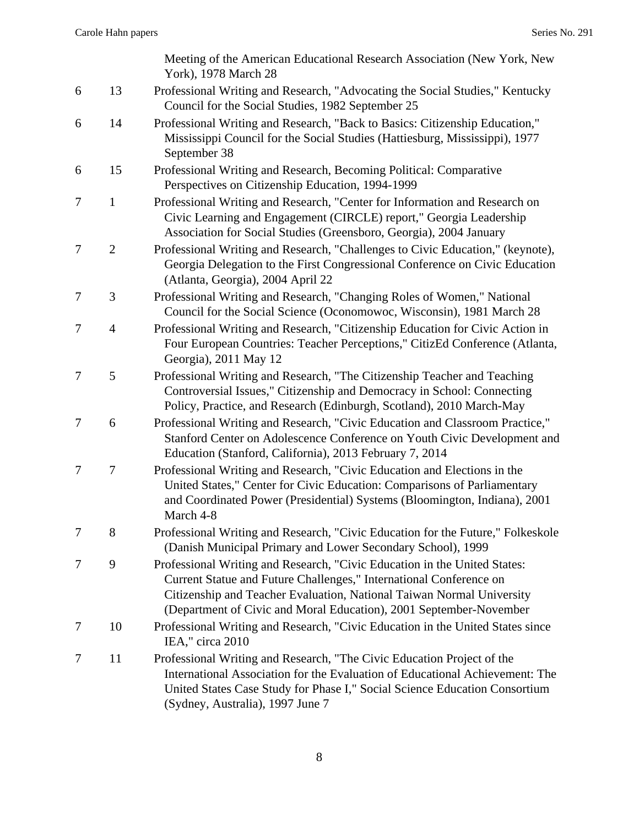|   |                | Meeting of the American Educational Research Association (New York, New<br>York), 1978 March 28                                                                                                                                                                                                |
|---|----------------|------------------------------------------------------------------------------------------------------------------------------------------------------------------------------------------------------------------------------------------------------------------------------------------------|
| 6 | 13             | Professional Writing and Research, "Advocating the Social Studies," Kentucky<br>Council for the Social Studies, 1982 September 25                                                                                                                                                              |
| 6 | 14             | Professional Writing and Research, "Back to Basics: Citizenship Education,"<br>Mississippi Council for the Social Studies (Hattiesburg, Mississippi), 1977<br>September 38                                                                                                                     |
| 6 | 15             | Professional Writing and Research, Becoming Political: Comparative<br>Perspectives on Citizenship Education, 1994-1999                                                                                                                                                                         |
| 7 | $\mathbf{1}$   | Professional Writing and Research, "Center for Information and Research on<br>Civic Learning and Engagement (CIRCLE) report," Georgia Leadership<br>Association for Social Studies (Greensboro, Georgia), 2004 January                                                                         |
| 7 | $\overline{2}$ | Professional Writing and Research, "Challenges to Civic Education," (keynote),<br>Georgia Delegation to the First Congressional Conference on Civic Education<br>(Atlanta, Georgia), 2004 April 22                                                                                             |
| 7 | 3              | Professional Writing and Research, "Changing Roles of Women," National<br>Council for the Social Science (Oconomowoc, Wisconsin), 1981 March 28                                                                                                                                                |
| 7 | $\overline{4}$ | Professional Writing and Research, "Citizenship Education for Civic Action in<br>Four European Countries: Teacher Perceptions," CitizEd Conference (Atlanta,<br>Georgia), 2011 May 12                                                                                                          |
| 7 | 5              | Professional Writing and Research, "The Citizenship Teacher and Teaching<br>Controversial Issues," Citizenship and Democracy in School: Connecting<br>Policy, Practice, and Research (Edinburgh, Scotland), 2010 March-May                                                                     |
| 7 | 6              | Professional Writing and Research, "Civic Education and Classroom Practice,"<br>Stanford Center on Adolescence Conference on Youth Civic Development and<br>Education (Stanford, California), 2013 February 7, 2014                                                                            |
| 7 | 7              | Professional Writing and Research, "Civic Education and Elections in the<br>United States," Center for Civic Education: Comparisons of Parliamentary<br>and Coordinated Power (Presidential) Systems (Bloomington, Indiana), 2001<br>March 4-8                                                 |
| 7 | 8              | Professional Writing and Research, "Civic Education for the Future," Folkeskole<br>(Danish Municipal Primary and Lower Secondary School), 1999                                                                                                                                                 |
| 7 | 9              | Professional Writing and Research, "Civic Education in the United States:<br>Current Statue and Future Challenges," International Conference on<br>Citizenship and Teacher Evaluation, National Taiwan Normal University<br>(Department of Civic and Moral Education), 2001 September-November |
| 7 | 10             | Professional Writing and Research, "Civic Education in the United States since<br>IEA," circa 2010                                                                                                                                                                                             |
| 7 | 11             | Professional Writing and Research, "The Civic Education Project of the<br>International Association for the Evaluation of Educational Achievement: The<br>United States Case Study for Phase I," Social Science Education Consortium<br>(Sydney, Australia), 1997 June 7                       |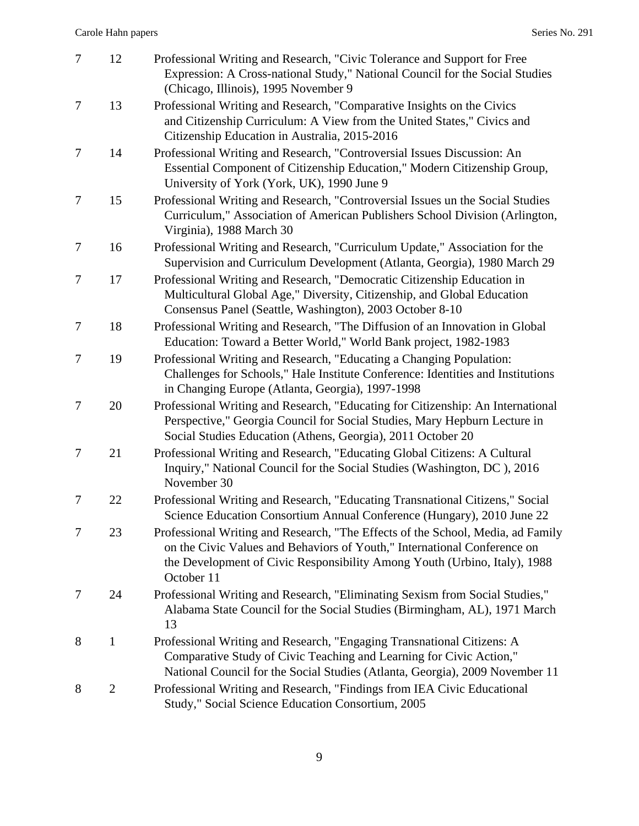| $\tau$         | 12             | Professional Writing and Research, "Civic Tolerance and Support for Free<br>Expression: A Cross-national Study," National Council for the Social Studies<br>(Chicago, Illinois), 1995 November 9                                                       |
|----------------|----------------|--------------------------------------------------------------------------------------------------------------------------------------------------------------------------------------------------------------------------------------------------------|
| 7              | 13             | Professional Writing and Research, "Comparative Insights on the Civics"<br>and Citizenship Curriculum: A View from the United States," Civics and<br>Citizenship Education in Australia, 2015-2016                                                     |
| 7              | 14             | Professional Writing and Research, "Controversial Issues Discussion: An<br>Essential Component of Citizenship Education," Modern Citizenship Group,<br>University of York (York, UK), 1990 June 9                                                      |
| 7              | 15             | Professional Writing and Research, "Controversial Issues un the Social Studies<br>Curriculum," Association of American Publishers School Division (Arlington,<br>Virginia), 1988 March 30                                                              |
| 7              | 16             | Professional Writing and Research, "Curriculum Update," Association for the<br>Supervision and Curriculum Development (Atlanta, Georgia), 1980 March 29                                                                                                |
| 7              | 17             | Professional Writing and Research, "Democratic Citizenship Education in<br>Multicultural Global Age," Diversity, Citizenship, and Global Education<br>Consensus Panel (Seattle, Washington), 2003 October 8-10                                         |
| 7              | 18             | Professional Writing and Research, "The Diffusion of an Innovation in Global<br>Education: Toward a Better World," World Bank project, 1982-1983                                                                                                       |
| $\overline{7}$ | 19             | Professional Writing and Research, "Educating a Changing Population:<br>Challenges for Schools," Hale Institute Conference: Identities and Institutions<br>in Changing Europe (Atlanta, Georgia), 1997-1998                                            |
| $\overline{7}$ | 20             | Professional Writing and Research, "Educating for Citizenship: An International<br>Perspective," Georgia Council for Social Studies, Mary Hepburn Lecture in<br>Social Studies Education (Athens, Georgia), 2011 October 20                            |
| 7              | 21             | Professional Writing and Research, "Educating Global Citizens: A Cultural<br>Inquiry," National Council for the Social Studies (Washington, DC), 2016<br>November 30                                                                                   |
| 7              | 22             | Professional Writing and Research, "Educating Transnational Citizens," Social<br>Science Education Consortium Annual Conference (Hungary), 2010 June 22                                                                                                |
| 7              | 23             | Professional Writing and Research, "The Effects of the School, Media, ad Family<br>on the Civic Values and Behaviors of Youth," International Conference on<br>the Development of Civic Responsibility Among Youth (Urbino, Italy), 1988<br>October 11 |
| 7              | 24             | Professional Writing and Research, "Eliminating Sexism from Social Studies,"<br>Alabama State Council for the Social Studies (Birmingham, AL), 1971 March<br>13                                                                                        |
| 8              | $\mathbf{1}$   | Professional Writing and Research, "Engaging Transnational Citizens: A<br>Comparative Study of Civic Teaching and Learning for Civic Action,"<br>National Council for the Social Studies (Atlanta, Georgia), 2009 November 11                          |
| 8              | $\overline{2}$ | Professional Writing and Research, "Findings from IEA Civic Educational<br>Study," Social Science Education Consortium, 2005                                                                                                                           |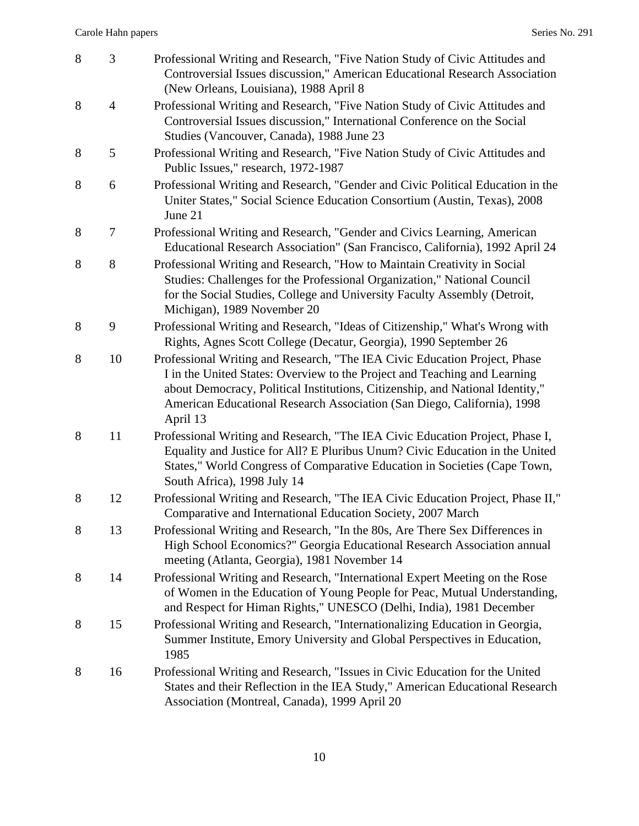| 8 | 3              | Professional Writing and Research, "Five Nation Study of Civic Attitudes and<br>Controversial Issues discussion," American Educational Research Association<br>(New Orleans, Louisiana), 1988 April 8                                                                                                                           |
|---|----------------|---------------------------------------------------------------------------------------------------------------------------------------------------------------------------------------------------------------------------------------------------------------------------------------------------------------------------------|
| 8 | $\overline{4}$ | Professional Writing and Research, "Five Nation Study of Civic Attitudes and<br>Controversial Issues discussion," International Conference on the Social<br>Studies (Vancouver, Canada), 1988 June 23                                                                                                                           |
| 8 | 5              | Professional Writing and Research, "Five Nation Study of Civic Attitudes and<br>Public Issues," research, 1972-1987                                                                                                                                                                                                             |
| 8 | 6              | Professional Writing and Research, "Gender and Civic Political Education in the<br>Uniter States," Social Science Education Consortium (Austin, Texas), 2008<br>June 21                                                                                                                                                         |
| 8 | 7              | Professional Writing and Research, "Gender and Civics Learning, American<br>Educational Research Association" (San Francisco, California), 1992 April 24                                                                                                                                                                        |
| 8 | 8              | Professional Writing and Research, "How to Maintain Creativity in Social<br>Studies: Challenges for the Professional Organization," National Council<br>for the Social Studies, College and University Faculty Assembly (Detroit,<br>Michigan), 1989 November 20                                                                |
| 8 | 9              | Professional Writing and Research, "Ideas of Citizenship," What's Wrong with<br>Rights, Agnes Scott College (Decatur, Georgia), 1990 September 26                                                                                                                                                                               |
| 8 | 10             | Professional Writing and Research, "The IEA Civic Education Project, Phase<br>I in the United States: Overview to the Project and Teaching and Learning<br>about Democracy, Political Institutions, Citizenship, and National Identity,"<br>American Educational Research Association (San Diego, California), 1998<br>April 13 |
| 8 | 11             | Professional Writing and Research, "The IEA Civic Education Project, Phase I,<br>Equality and Justice for All? E Pluribus Unum? Civic Education in the United<br>States," World Congress of Comparative Education in Societies (Cape Town,<br>South Africa), 1998 July 14                                                       |
| 8 | 12             | Professional Writing and Research, "The IEA Civic Education Project, Phase II,"<br>Comparative and International Education Society, 2007 March                                                                                                                                                                                  |
| 8 | 13             | Professional Writing and Research, "In the 80s, Are There Sex Differences in<br>High School Economics?" Georgia Educational Research Association annual<br>meeting (Atlanta, Georgia), 1981 November 14                                                                                                                         |
| 8 | 14             | Professional Writing and Research, "International Expert Meeting on the Rose<br>of Women in the Education of Young People for Peac, Mutual Understanding,<br>and Respect for Himan Rights," UNESCO (Delhi, India), 1981 December                                                                                                |
| 8 | 15             | Professional Writing and Research, "Internationalizing Education in Georgia,<br>Summer Institute, Emory University and Global Perspectives in Education,<br>1985                                                                                                                                                                |
| 8 | 16             | Professional Writing and Research, "Issues in Civic Education for the United<br>States and their Reflection in the IEA Study," American Educational Research<br>Association (Montreal, Canada), 1999 April 20                                                                                                                   |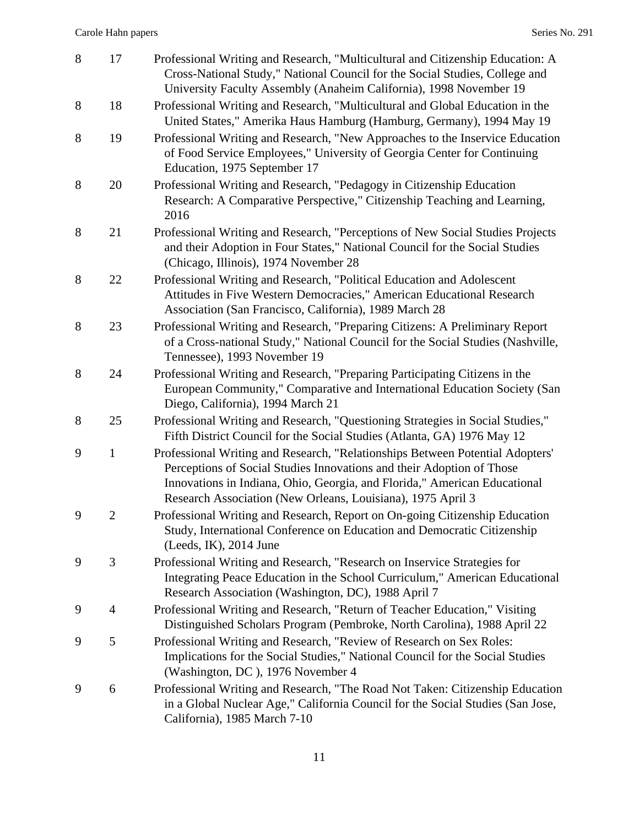| 8 | 17             | Professional Writing and Research, "Multicultural and Citizenship Education: A<br>Cross-National Study," National Council for the Social Studies, College and<br>University Faculty Assembly (Anaheim California), 1998 November 19                                                                |
|---|----------------|----------------------------------------------------------------------------------------------------------------------------------------------------------------------------------------------------------------------------------------------------------------------------------------------------|
| 8 | 18             | Professional Writing and Research, "Multicultural and Global Education in the<br>United States," Amerika Haus Hamburg (Hamburg, Germany), 1994 May 19                                                                                                                                              |
| 8 | 19             | Professional Writing and Research, "New Approaches to the Inservice Education<br>of Food Service Employees," University of Georgia Center for Continuing<br>Education, 1975 September 17                                                                                                           |
| 8 | 20             | Professional Writing and Research, "Pedagogy in Citizenship Education<br>Research: A Comparative Perspective," Citizenship Teaching and Learning,<br>2016                                                                                                                                          |
| 8 | 21             | Professional Writing and Research, "Perceptions of New Social Studies Projects<br>and their Adoption in Four States," National Council for the Social Studies<br>(Chicago, Illinois), 1974 November 28                                                                                             |
| 8 | 22             | Professional Writing and Research, "Political Education and Adolescent<br>Attitudes in Five Western Democracies," American Educational Research<br>Association (San Francisco, California), 1989 March 28                                                                                          |
| 8 | 23             | Professional Writing and Research, "Preparing Citizens: A Preliminary Report<br>of a Cross-national Study," National Council for the Social Studies (Nashville,<br>Tennessee), 1993 November 19                                                                                                    |
| 8 | 24             | Professional Writing and Research, "Preparing Participating Citizens in the<br>European Community," Comparative and International Education Society (San<br>Diego, California), 1994 March 21                                                                                                      |
| 8 | 25             | Professional Writing and Research, "Questioning Strategies in Social Studies,"<br>Fifth District Council for the Social Studies (Atlanta, GA) 1976 May 12                                                                                                                                          |
| 9 | $\mathbf{1}$   | Professional Writing and Research, "Relationships Between Potential Adopters'<br>Perceptions of Social Studies Innovations and their Adoption of Those<br>Innovations in Indiana, Ohio, Georgia, and Florida," American Educational<br>Research Association (New Orleans, Louisiana), 1975 April 3 |
| 9 | $\overline{2}$ | Professional Writing and Research, Report on On-going Citizenship Education<br>Study, International Conference on Education and Democratic Citizenship<br>(Leeds, IK), 2014 June                                                                                                                   |
| 9 | 3              | Professional Writing and Research, "Research on Inservice Strategies for<br>Integrating Peace Education in the School Curriculum," American Educational<br>Research Association (Washington, DC), 1988 April 7                                                                                     |
| 9 | 4              | Professional Writing and Research, "Return of Teacher Education," Visiting<br>Distinguished Scholars Program (Pembroke, North Carolina), 1988 April 22                                                                                                                                             |
| 9 | 5              | Professional Writing and Research, "Review of Research on Sex Roles:<br>Implications for the Social Studies," National Council for the Social Studies<br>(Washington, DC), 1976 November 4                                                                                                         |
| 9 | 6              | Professional Writing and Research, "The Road Not Taken: Citizenship Education<br>in a Global Nuclear Age," California Council for the Social Studies (San Jose,<br>California), 1985 March 7-10                                                                                                    |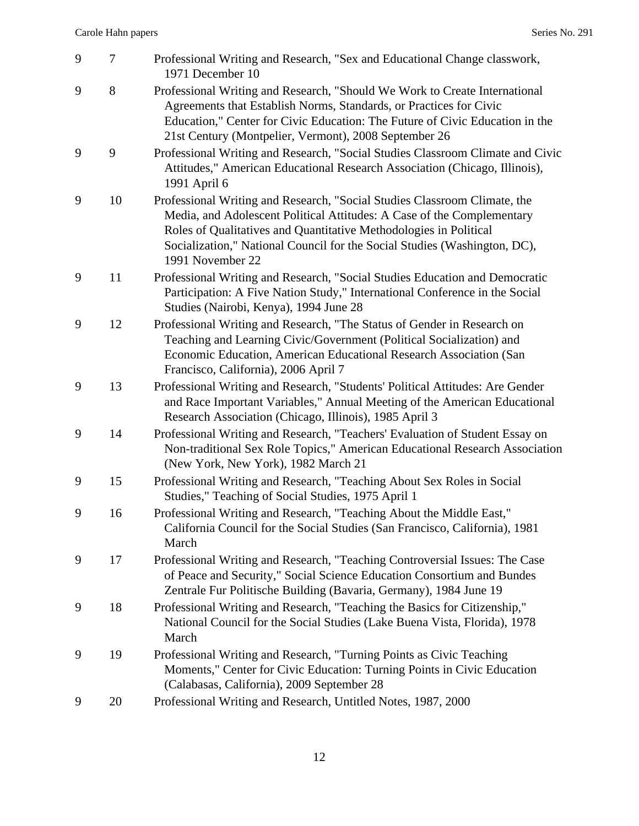| 9 | $\tau$ | Professional Writing and Research, "Sex and Educational Change classwork,<br>1971 December 10                                                                                                                                                                                                                             |
|---|--------|---------------------------------------------------------------------------------------------------------------------------------------------------------------------------------------------------------------------------------------------------------------------------------------------------------------------------|
| 9 | 8      | Professional Writing and Research, "Should We Work to Create International<br>Agreements that Establish Norms, Standards, or Practices for Civic<br>Education," Center for Civic Education: The Future of Civic Education in the<br>21st Century (Montpelier, Vermont), 2008 September 26                                 |
| 9 | 9      | Professional Writing and Research, "Social Studies Classroom Climate and Civic<br>Attitudes," American Educational Research Association (Chicago, Illinois),<br>1991 April 6                                                                                                                                              |
| 9 | 10     | Professional Writing and Research, "Social Studies Classroom Climate, the<br>Media, and Adolescent Political Attitudes: A Case of the Complementary<br>Roles of Qualitatives and Quantitative Methodologies in Political<br>Socialization," National Council for the Social Studies (Washington, DC),<br>1991 November 22 |
| 9 | 11     | Professional Writing and Research, "Social Studies Education and Democratic<br>Participation: A Five Nation Study," International Conference in the Social<br>Studies (Nairobi, Kenya), 1994 June 28                                                                                                                      |
| 9 | 12     | Professional Writing and Research, "The Status of Gender in Research on<br>Teaching and Learning Civic/Government (Political Socialization) and<br>Economic Education, American Educational Research Association (San<br>Francisco, California), 2006 April 7                                                             |
| 9 | 13     | Professional Writing and Research, "Students' Political Attitudes: Are Gender<br>and Race Important Variables," Annual Meeting of the American Educational<br>Research Association (Chicago, Illinois), 1985 April 3                                                                                                      |
| 9 | 14     | Professional Writing and Research, "Teachers' Evaluation of Student Essay on<br>Non-traditional Sex Role Topics," American Educational Research Association<br>(New York, New York), 1982 March 21                                                                                                                        |
| 9 | 15     | Professional Writing and Research, "Teaching About Sex Roles in Social<br>Studies," Teaching of Social Studies, 1975 April 1                                                                                                                                                                                              |
| 9 | 16     | Professional Writing and Research, "Teaching About the Middle East,"<br>California Council for the Social Studies (San Francisco, California), 1981<br>March                                                                                                                                                              |
| 9 | 17     | Professional Writing and Research, "Teaching Controversial Issues: The Case<br>of Peace and Security," Social Science Education Consortium and Bundes<br>Zentrale Fur Politische Building (Bavaria, Germany), 1984 June 19                                                                                                |
| 9 | 18     | Professional Writing and Research, "Teaching the Basics for Citizenship,"<br>National Council for the Social Studies (Lake Buena Vista, Florida), 1978<br>March                                                                                                                                                           |
| 9 | 19     | Professional Writing and Research, "Turning Points as Civic Teaching<br>Moments," Center for Civic Education: Turning Points in Civic Education<br>(Calabasas, California), 2009 September 28                                                                                                                             |
| 9 | 20     | Professional Writing and Research, Untitled Notes, 1987, 2000                                                                                                                                                                                                                                                             |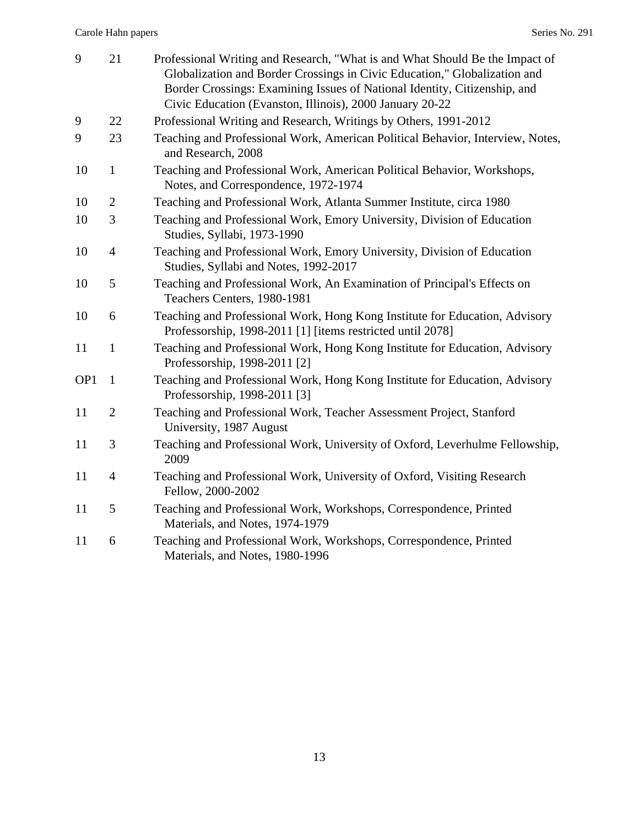| 9               | 21             | Professional Writing and Research, "What is and What Should Be the Impact of<br>Globalization and Border Crossings in Civic Education," Globalization and<br>Border Crossings: Examining Issues of National Identity, Citizenship, and<br>Civic Education (Evanston, Illinois), 2000 January 20-22 |
|-----------------|----------------|----------------------------------------------------------------------------------------------------------------------------------------------------------------------------------------------------------------------------------------------------------------------------------------------------|
| 9               | 22             | Professional Writing and Research, Writings by Others, 1991-2012                                                                                                                                                                                                                                   |
| 9               | 23             | Teaching and Professional Work, American Political Behavior, Interview, Notes,<br>and Research, 2008                                                                                                                                                                                               |
| 10              | $\mathbf{1}$   | Teaching and Professional Work, American Political Behavior, Workshops,<br>Notes, and Correspondence, 1972-1974                                                                                                                                                                                    |
| 10              | $\mathbf{2}$   | Teaching and Professional Work, Atlanta Summer Institute, circa 1980                                                                                                                                                                                                                               |
| 10              | 3              | Teaching and Professional Work, Emory University, Division of Education<br>Studies, Syllabi, 1973-1990                                                                                                                                                                                             |
| 10              | $\overline{4}$ | Teaching and Professional Work, Emory University, Division of Education<br>Studies, Syllabi and Notes, 1992-2017                                                                                                                                                                                   |
| 10              | 5              | Teaching and Professional Work, An Examination of Principal's Effects on<br>Teachers Centers, 1980-1981                                                                                                                                                                                            |
| 10              | 6              | Teaching and Professional Work, Hong Kong Institute for Education, Advisory<br>Professorship, 1998-2011 [1] [items restricted until 2078]                                                                                                                                                          |
| 11              | $\mathbf{1}$   | Teaching and Professional Work, Hong Kong Institute for Education, Advisory<br>Professorship, 1998-2011 [2]                                                                                                                                                                                        |
| OP <sub>1</sub> | $\mathbf{1}$   | Teaching and Professional Work, Hong Kong Institute for Education, Advisory<br>Professorship, 1998-2011 [3]                                                                                                                                                                                        |
| 11              | $\overline{2}$ | Teaching and Professional Work, Teacher Assessment Project, Stanford<br>University, 1987 August                                                                                                                                                                                                    |
| 11              | 3              | Teaching and Professional Work, University of Oxford, Leverhulme Fellowship,<br>2009                                                                                                                                                                                                               |
| 11              | $\overline{4}$ | Teaching and Professional Work, University of Oxford, Visiting Research<br>Fellow, 2000-2002                                                                                                                                                                                                       |
| 11              | 5              | Teaching and Professional Work, Workshops, Correspondence, Printed<br>Materials, and Notes, 1974-1979                                                                                                                                                                                              |
| 11              | 6              | Teaching and Professional Work, Workshops, Correspondence, Printed<br>Materials, and Notes, 1980-1996                                                                                                                                                                                              |